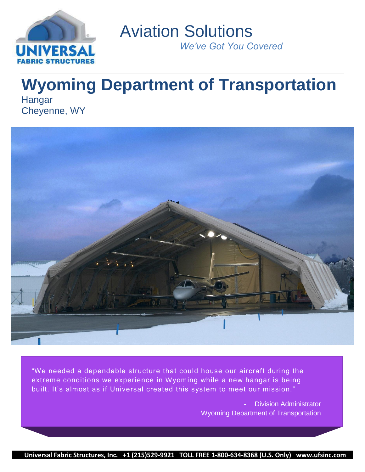

 Aviation Solutions *We've Got You Covered*

# **Wyoming Department of Transportation** Hangar

Cheyenne, WY



"We needed a dependable structure that could house our aircraft during the extreme conditions we experience in Wyoming while a new hangar is being built. It's almost as if Universal created this system to meet our mission."

> Division Administrator Wyoming Department of Transportation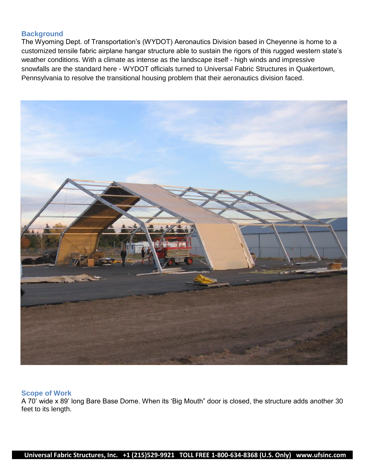## **Background**

The Wyoming Dept. of Transportation"s (WYDOT) Aeronautics Division based in Cheyenne is home to a customized tensile fabric airplane hangar structure able to sustain the rigors of this rugged western state"s weather conditions. With a climate as intense as the landscape itself - high winds and impressive snowfalls are the standard here - WYDOT officials turned to Universal Fabric Structures in Quakertown, Pennsylvania to resolve the transitional housing problem that their aeronautics division faced.



#### **Scope of Work**

A 70" wide x 89" long Bare Base Dome. When its "Big Mouth" door is closed, the structure adds another 30 feet to its length.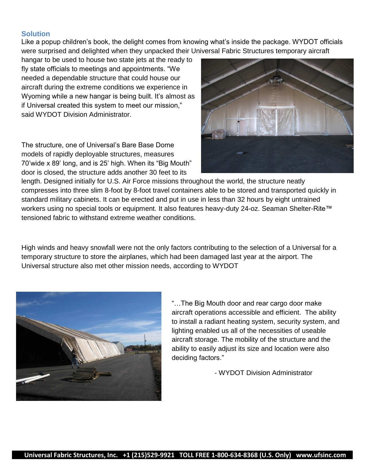## **Solution**

Like a popup children"s book, the delight comes from knowing what"s inside the package. WYDOT officials were surprised and delighted when they unpacked their Universal Fabric Structures temporary aircraft

hangar to be used to house two state jets at the ready to fly state officials to meetings and appointments. "We needed a dependable structure that could house our aircraft during the extreme conditions we experience in Wyoming while a new hangar is being built. It's almost as if Universal created this system to meet our mission," said WYDOT Division Administrator.

The structure, one of Universal"s Bare Base Dome models of rapidly deployable structures, measures 70'wide x 89' long, and is 25' high. When its "Big Mouth" door is closed, the structure adds another 30 feet to its



length. Designed initially for U.S. Air Force missions throughout the world, the structure neatly compresses into three slim 8-foot by 8-foot travel containers able to be stored and transported quickly in standard military cabinets. It can be erected and put in use in less than 32 hours by eight untrained workers using no special tools or equipment. It also features heavy-duty 24-oz. Seaman Shelter-Rite™ tensioned fabric to withstand extreme weather conditions.

High winds and heavy snowfall were not the only factors contributing to the selection of a Universal for a temporary structure to store the airplanes, which had been damaged last year at the airport. The Universal structure also met other mission needs, according to WYDOT



"…The Big Mouth door and rear cargo door make aircraft operations accessible and efficient. The ability to install a radiant heating system, security system, and lighting enabled us all of the necessities of useable aircraft storage. The mobility of the structure and the ability to easily adjust its size and location were also deciding factors."

- WYDOT Division Administrator